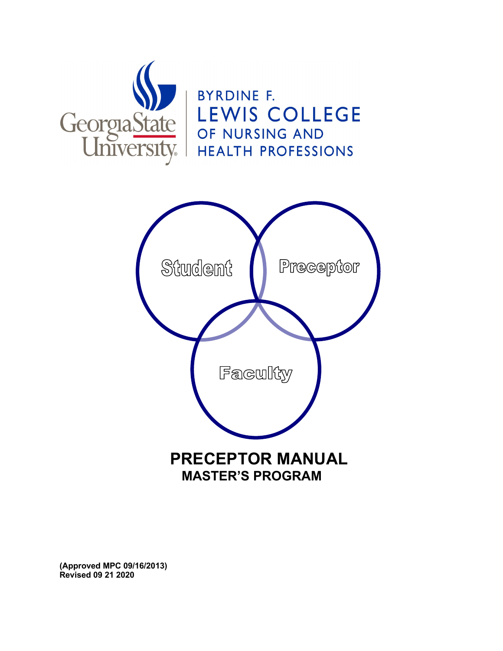



**(Approved MPC 09/16/2013) Revised 09 21 2020**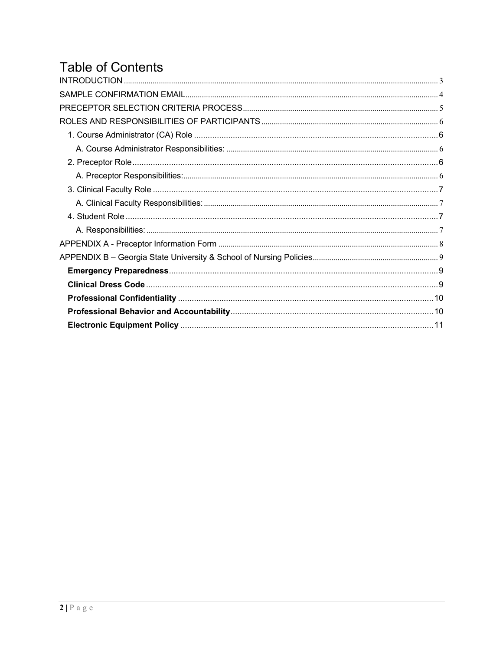# **Table of Contents**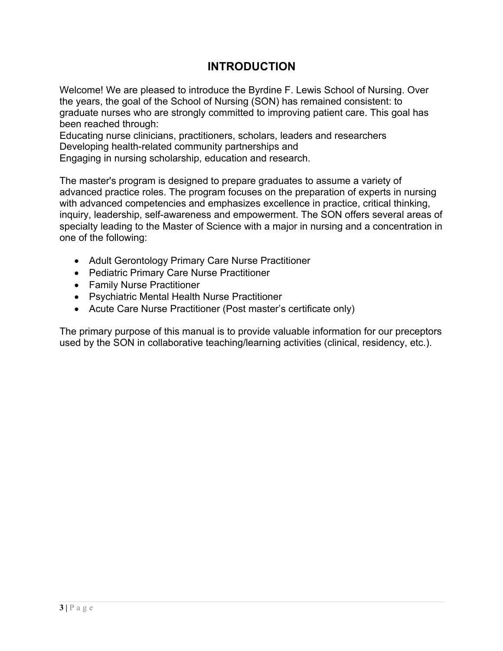### **INTRODUCTION**

Welcome! We are pleased to introduce the Byrdine F. Lewis School of Nursing. Over the years, the goal of the School of Nursing (SON) has remained consistent: to graduate nurses who are strongly committed to improving patient care. This goal has been reached through:

Educating nurse clinicians, practitioners, scholars, leaders and researchers Developing health-related community partnerships and

Engaging in nursing scholarship, education and research.

The master's program is designed to prepare graduates to assume a variety of advanced practice roles. The program focuses on the preparation of experts in nursing with advanced competencies and emphasizes excellence in practice, critical thinking, inquiry, leadership, self-awareness and empowerment. The SON offers several areas of specialty leading to the Master of Science with a major in nursing and a concentration in one of the following:

- Adult Gerontology Primary Care Nurse Practitioner
- Pediatric Primary Care Nurse Practitioner
- Family Nurse Practitioner
- Psychiatric Mental Health Nurse Practitioner
- Acute Care Nurse Practitioner (Post master's certificate only)

The primary purpose of this manual is to provide valuable information for our preceptors used by the SON in collaborative teaching/learning activities (clinical, residency, etc.).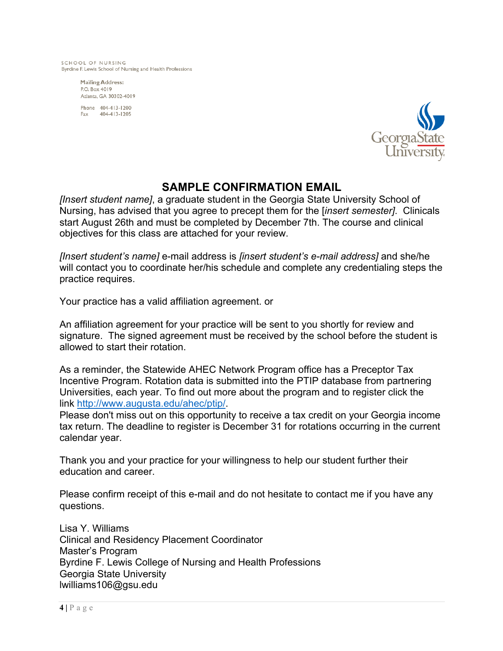SCHOOL OF NURSING Byrdine F. Lewis School of Nursing and Health Professions

> **Mailing Address:** P.O. Box 4019 Atlanta, GA 30302-4019

Phone 404-413-1200 404-413-1205 Fax



### **SAMPLE CONFIRMATION EMAIL**

*[Insert student name]*, a graduate student in the Georgia State University School of Nursing, has advised that you agree to precept them for the [*insert semester]*. Clinicals start August 26th and must be completed by December 7th. The course and clinical objectives for this class are attached for your review.

*[Insert student's name]* e-mail address is *[insert student's e-mail address]* and she/he will contact you to coordinate her/his schedule and complete any credentialing steps the practice requires.

Your practice has a valid affiliation agreement. or

An affiliation agreement for your practice will be sent to you shortly for review and signature. The signed agreement must be received by the school before the student is allowed to start their rotation.

As a reminder, the Statewide AHEC Network Program office has a Preceptor Tax Incentive Program. Rotation data is submitted into the PTIP database from partnering Universities, each year. To find out more about the program and to register click the link http://www.augusta.edu/ahec/ptip/.

Please don't miss out on this opportunity to receive a tax credit on your Georgia income tax return. The deadline to register is December 31 for rotations occurring in the current calendar year.

Thank you and your practice for your willingness to help our student further their education and career.

Please confirm receipt of this e-mail and do not hesitate to contact me if you have any questions.

Lisa Y. Williams Clinical and Residency Placement Coordinator Master's Program Byrdine F. Lewis College of Nursing and Health Professions Georgia State University lwilliams106@gsu.edu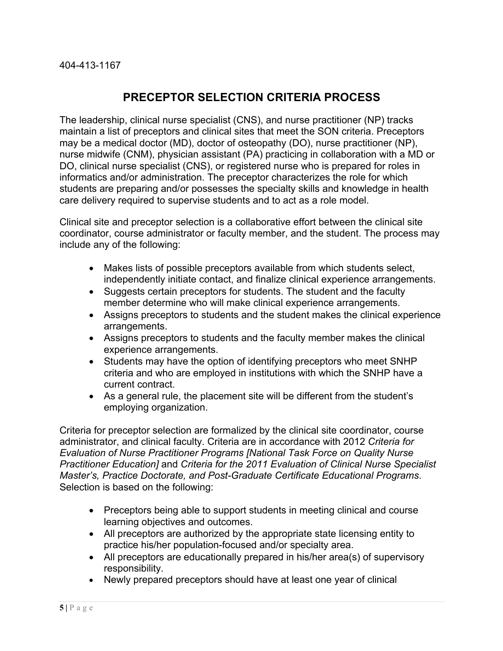### **PRECEPTOR SELECTION CRITERIA PROCESS**

The leadership, clinical nurse specialist (CNS), and nurse practitioner (NP) tracks maintain a list of preceptors and clinical sites that meet the SON criteria. Preceptors may be a medical doctor (MD), doctor of osteopathy (DO), nurse practitioner (NP), nurse midwife (CNM), physician assistant (PA) practicing in collaboration with a MD or DO, clinical nurse specialist (CNS), or registered nurse who is prepared for roles in informatics and/or administration. The preceptor characterizes the role for which students are preparing and/or possesses the specialty skills and knowledge in health care delivery required to supervise students and to act as a role model.

Clinical site and preceptor selection is a collaborative effort between the clinical site coordinator, course administrator or faculty member, and the student. The process may include any of the following:

- Makes lists of possible preceptors available from which students select, independently initiate contact, and finalize clinical experience arrangements.
- Suggests certain preceptors for students. The student and the faculty member determine who will make clinical experience arrangements.
- Assigns preceptors to students and the student makes the clinical experience arrangements.
- Assigns preceptors to students and the faculty member makes the clinical experience arrangements.
- Students may have the option of identifying preceptors who meet SNHP criteria and who are employed in institutions with which the SNHP have a current contract.
- As a general rule, the placement site will be different from the student's employing organization.

Criteria for preceptor selection are formalized by the clinical site coordinator, course administrator, and clinical faculty. Criteria are in accordance with 2012 *Criteria for Evaluation of Nurse Practitioner Programs [National Task Force on Quality Nurse Practitioner Education]* and *Criteria for the 2011 Evaluation of Clinical Nurse Specialist Master's, Practice Doctorate, and Post-Graduate Certificate Educational Programs*. Selection is based on the following:

- Preceptors being able to support students in meeting clinical and course learning objectives and outcomes.
- All preceptors are authorized by the appropriate state licensing entity to practice his/her population-focused and/or specialty area.
- All preceptors are educationally prepared in his/her area(s) of supervisory responsibility.
- Newly prepared preceptors should have at least one year of clinical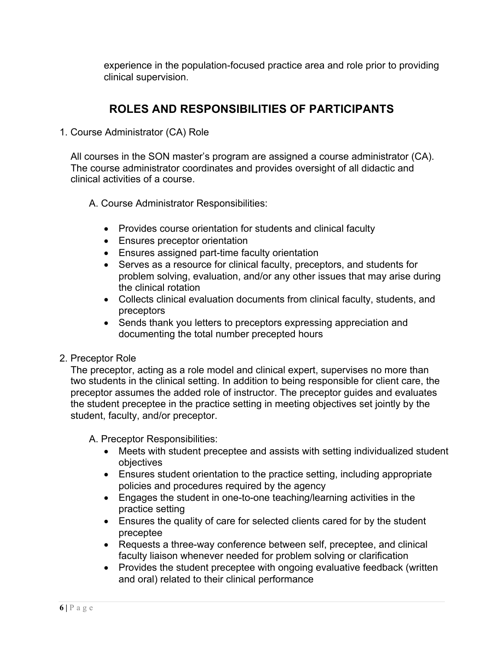experience in the population-focused practice area and role prior to providing clinical supervision.

# **ROLES AND RESPONSIBILITIES OF PARTICIPANTS**

1. Course Administrator (CA) Role

All courses in the SON master's program are assigned a course administrator (CA). The course administrator coordinates and provides oversight of all didactic and clinical activities of a course.

- A. Course Administrator Responsibilities:
	- Provides course orientation for students and clinical faculty
	- Ensures preceptor orientation
	- Ensures assigned part-time faculty orientation
	- Serves as a resource for clinical faculty, preceptors, and students for problem solving, evaluation, and/or any other issues that may arise during the clinical rotation
	- Collects clinical evaluation documents from clinical faculty, students, and preceptors
	- Sends thank you letters to preceptors expressing appreciation and documenting the total number precepted hours
- 2. Preceptor Role

The preceptor, acting as a role model and clinical expert, supervises no more than two students in the clinical setting. In addition to being responsible for client care, the preceptor assumes the added role of instructor. The preceptor guides and evaluates the student preceptee in the practice setting in meeting objectives set jointly by the student, faculty, and/or preceptor.

A. Preceptor Responsibilities:

- Meets with student preceptee and assists with setting individualized student objectives
- Ensures student orientation to the practice setting, including appropriate policies and procedures required by the agency
- Engages the student in one-to-one teaching/learning activities in the practice setting
- Ensures the quality of care for selected clients cared for by the student preceptee
- Requests a three-way conference between self, preceptee, and clinical faculty liaison whenever needed for problem solving or clarification
- Provides the student preceptee with ongoing evaluative feedback (written and oral) related to their clinical performance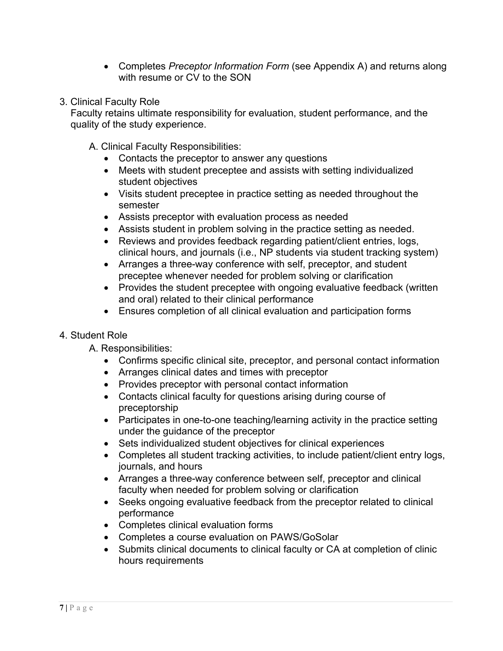- Completes *Preceptor Information Form* (see Appendix A) and returns along with resume or CV to the SON
- 3. Clinical Faculty Role

Faculty retains ultimate responsibility for evaluation, student performance, and the quality of the study experience.

- A. Clinical Faculty Responsibilities:
	- Contacts the preceptor to answer any questions
	- Meets with student preceptee and assists with setting individualized student objectives
	- Visits student preceptee in practice setting as needed throughout the semester
	- Assists preceptor with evaluation process as needed
	- Assists student in problem solving in the practice setting as needed.
	- Reviews and provides feedback regarding patient/client entries, logs, clinical hours, and journals (i.e., NP students via student tracking system)
	- Arranges a three-way conference with self, preceptor, and student preceptee whenever needed for problem solving or clarification
	- Provides the student preceptee with ongoing evaluative feedback (written and oral) related to their clinical performance
	- Ensures completion of all clinical evaluation and participation forms

#### 4. Student Role

- A. Responsibilities:
	- Confirms specific clinical site, preceptor, and personal contact information
	- Arranges clinical dates and times with preceptor
	- Provides preceptor with personal contact information
	- Contacts clinical faculty for questions arising during course of preceptorship
	- Participates in one-to-one teaching/learning activity in the practice setting under the guidance of the preceptor
	- Sets individualized student objectives for clinical experiences
	- Completes all student tracking activities, to include patient/client entry logs, journals, and hours
	- Arranges a three-way conference between self, preceptor and clinical faculty when needed for problem solving or clarification
	- Seeks ongoing evaluative feedback from the preceptor related to clinical performance
	- Completes clinical evaluation forms
	- Completes a course evaluation on PAWS/GoSolar
	- Submits clinical documents to clinical faculty or CA at completion of clinic hours requirements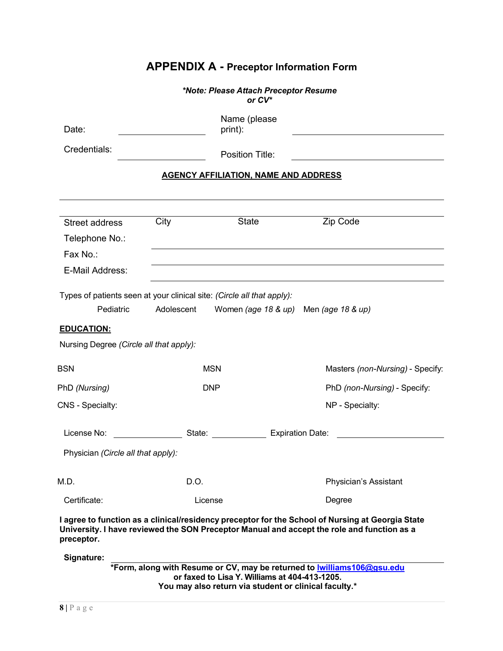|                   |                                                                    |                                                                        | <b>APPENDIX A - Preceptor Information Form</b>                                                                                                                                                 |
|-------------------|--------------------------------------------------------------------|------------------------------------------------------------------------|------------------------------------------------------------------------------------------------------------------------------------------------------------------------------------------------|
|                   |                                                                    | *Note: Please Attach Preceptor Resume<br>or $CV^*$                     |                                                                                                                                                                                                |
| Date:             |                                                                    | Name (please<br>print):                                                |                                                                                                                                                                                                |
| Credentials:      |                                                                    | Position Title:                                                        |                                                                                                                                                                                                |
|                   |                                                                    | <b>AGENCY AFFILIATION, NAME AND ADDRESS</b>                            |                                                                                                                                                                                                |
|                   |                                                                    |                                                                        |                                                                                                                                                                                                |
| Street address    | City                                                               | <b>State</b>                                                           | Zip Code                                                                                                                                                                                       |
| Telephone No.:    |                                                                    |                                                                        |                                                                                                                                                                                                |
| Fax No.:          |                                                                    |                                                                        |                                                                                                                                                                                                |
| E-Mail Address:   |                                                                    |                                                                        |                                                                                                                                                                                                |
| <b>EDUCATION:</b> | Pediatric<br>Adolescent<br>Nursing Degree (Circle all that apply): | Types of patients seen at your clinical site: (Circle all that apply): | Women (age 18 & up) Men (age 18 & up)                                                                                                                                                          |
| <b>BSN</b>        |                                                                    | <b>MSN</b>                                                             | Masters (non-Nursing) - Specify:                                                                                                                                                               |
| PhD (Nursing)     |                                                                    | <b>DNP</b>                                                             | PhD (non-Nursing) - Specify:                                                                                                                                                                   |
| CNS - Specialty:  |                                                                    |                                                                        | NP - Specialty:                                                                                                                                                                                |
| License No:       |                                                                    | State:                                                                 | <b>Expiration Date:</b>                                                                                                                                                                        |
|                   | Physician (Circle all that apply):                                 |                                                                        |                                                                                                                                                                                                |
| M.D.              |                                                                    | D.O.                                                                   | Physician's Assistant                                                                                                                                                                          |
| Certificate:      |                                                                    | License                                                                | Degree                                                                                                                                                                                         |
| preceptor.        |                                                                    |                                                                        | I agree to function as a clinical/residency preceptor for the School of Nursing at Georgia State<br>University. I have reviewed the SON Preceptor Manual and accept the role and function as a |
| Signature:        |                                                                    |                                                                        |                                                                                                                                                                                                |
|                   |                                                                    | or faxed to Lisa Y. Williams at 404-413-1205.                          | *Form, along with Resume or CV, may be returned to <b>williams106@gsu.edu</b><br>You may also return via student or clinical faculty.*                                                         |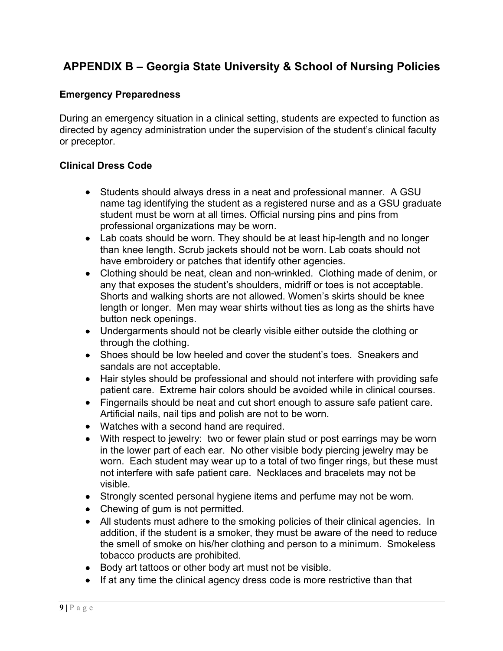# **APPENDIX B – Georgia State University & School of Nursing Policies**

#### **Emergency Preparedness**

During an emergency situation in a clinical setting, students are expected to function as directed by agency administration under the supervision of the student's clinical faculty or preceptor.

#### **Clinical Dress Code**

- Students should always dress in a neat and professional manner. A GSU name tag identifying the student as a registered nurse and as a GSU graduate student must be worn at all times. Official nursing pins and pins from professional organizations may be worn.
- Lab coats should be worn. They should be at least hip-length and no longer than knee length. Scrub jackets should not be worn. Lab coats should not have embroidery or patches that identify other agencies.
- Clothing should be neat, clean and non-wrinkled. Clothing made of denim, or any that exposes the student's shoulders, midriff or toes is not acceptable. Shorts and walking shorts are not allowed. Women's skirts should be knee length or longer. Men may wear shirts without ties as long as the shirts have button neck openings.
- Undergarments should not be clearly visible either outside the clothing or through the clothing.
- Shoes should be low heeled and cover the student's toes. Sneakers and sandals are not acceptable.
- Hair styles should be professional and should not interfere with providing safe patient care. Extreme hair colors should be avoided while in clinical courses.
- Fingernails should be neat and cut short enough to assure safe patient care. Artificial nails, nail tips and polish are not to be worn.
- Watches with a second hand are required.
- With respect to jewelry: two or fewer plain stud or post earrings may be worn in the lower part of each ear. No other visible body piercing jewelry may be worn. Each student may wear up to a total of two finger rings, but these must not interfere with safe patient care. Necklaces and bracelets may not be visible.
- Strongly scented personal hygiene items and perfume may not be worn.
- Chewing of gum is not permitted.
- All students must adhere to the smoking policies of their clinical agencies. In addition, if the student is a smoker, they must be aware of the need to reduce the smell of smoke on his/her clothing and person to a minimum. Smokeless tobacco products are prohibited.
- Body art tattoos or other body art must not be visible.
- If at any time the clinical agency dress code is more restrictive than that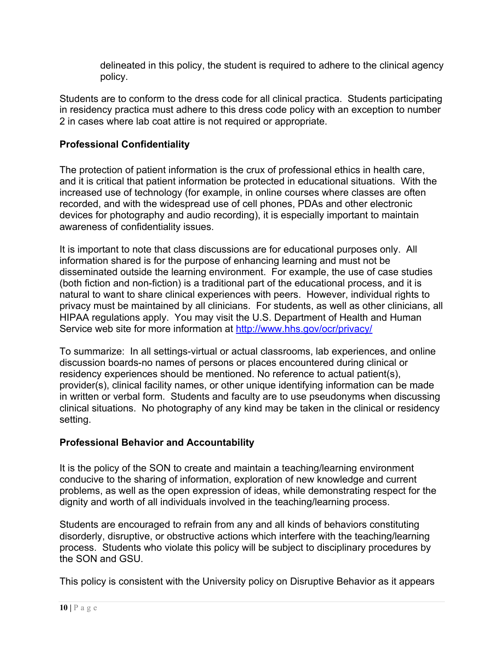delineated in this policy, the student is required to adhere to the clinical agency policy.

Students are to conform to the dress code for all clinical practica. Students participating in residency practica must adhere to this dress code policy with an exception to number 2 in cases where lab coat attire is not required or appropriate.

### **Professional Confidentiality**

The protection of patient information is the crux of professional ethics in health care, and it is critical that patient information be protected in educational situations. With the increased use of technology (for example, in online courses where classes are often recorded, and with the widespread use of cell phones, PDAs and other electronic devices for photography and audio recording), it is especially important to maintain awareness of confidentiality issues.

It is important to note that class discussions are for educational purposes only. All information shared is for the purpose of enhancing learning and must not be disseminated outside the learning environment. For example, the use of case studies (both fiction and non-fiction) is a traditional part of the educational process, and it is natural to want to share clinical experiences with peers. However, individual rights to privacy must be maintained by all clinicians. For students, as well as other clinicians, all HIPAA regulations apply. You may visit the U.S. Department of Health and Human Service web site for more information at http://www.hhs.gov/ocr/privacy/

To summarize: In all settings-virtual or actual classrooms, lab experiences, and online discussion boards-no names of persons or places encountered during clinical or residency experiences should be mentioned. No reference to actual patient(s), provider(s), clinical facility names, or other unique identifying information can be made in written or verbal form. Students and faculty are to use pseudonyms when discussing clinical situations. No photography of any kind may be taken in the clinical or residency setting.

### **Professional Behavior and Accountability**

It is the policy of the SON to create and maintain a teaching/learning environment conducive to the sharing of information, exploration of new knowledge and current problems, as well as the open expression of ideas, while demonstrating respect for the dignity and worth of all individuals involved in the teaching/learning process.

Students are encouraged to refrain from any and all kinds of behaviors constituting disorderly, disruptive, or obstructive actions which interfere with the teaching/learning process. Students who violate this policy will be subject to disciplinary procedures by the SON and GSU.

This policy is consistent with the University policy on Disruptive Behavior as it appears